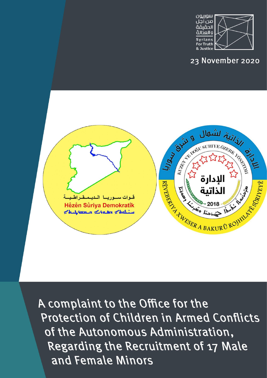

## 23 November 2020



A complaint to the Office for the **Protection of Children in Armed Conflicts** of the Autonomous Administration, Regarding the Recruitment of 17 Male and Female Minors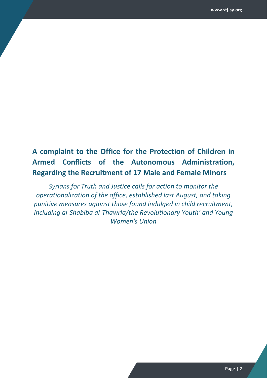## **A complaint to the Office for the Protection of Children in Armed Conflicts of the Autonomous Administration, Regarding the Recruitment of 17 Male and Female Minors**

*Syrians for Truth and Justice calls for action to monitor the operationalization of the office, established last August, and taking punitive measures against those found indulged in child recruitment, including al-Shabiba al-Thawria/the Revolutionary Youth' and Young Women's Union*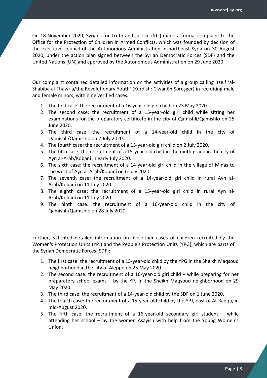On 18 November 2020, Syrians for Truth and Justice (STJ) made a formal complaint to the Office for the Protection of Children in Armed Conflicts, which was founded by decision of the executive council of the Autonomous Administration in northeast Syria on 30 August 2020, under the action plan signed between the Syrian Democratic Forces (SDF) and the United Nations (UN) and approved by the Autonomous Administration on 29 June 2020.

Our complaint contained detailed information on the activities of a group calling itself 'al-Shabiba al-Thawria/the Revolutionary Youth' (Kurdish: Ciwanên Şoreşger) in recruiting male and female minors, with nine verified cases:

- 1. The first case: the recruitment of a 16-year-old girl child on 23 May 2020.
- 2. The second case: the recruitment of a 15-year-old girl child while sitting her examinations for the preparatory certificate in the city of Qamishli/Qamishlo on 25 June 2020.
- 3. The third case: the recruitment of a 14-year-old child in the city of Qamishli/Qamishlo on 2 July 2020.
- 4. The fourth case: the recruitment of a 15-year-old girl child on 2 July 2020.
- 5. The fifth case: the recruitment of a 15-year-old child in the ninth grade in the city of Ayn al-Arab/Kobanî in early July 2020.
- 6. The sixth case: the recruitment of a 14-year-old girl child in the village of Minas to the west of Ayn al-Arab/Kobanî on 6 July 2020.
- 7. The seventh case: the recruitment of a 14-year-old girl child in rural Ayn al-Arab/Kobanî on 11 July 2020.
- 8. The eighth case: the recruitment of a 15-year-old girl child in rural Ayn al-Arab/Kobanî on 11 July 2020.
- 9. The ninth case: the recruitment of a 16-year-old child in the city of Qamishli/Qamishlo on 28 July 2020.

Further, STJ cited detailed information on five other cases of children recruited by the Women's Protection Units (YPJ) and the People's Protection Units (YPG), which are parts of the Syrian Democratic Forces (SDF):

- 1. The first case: the recruitment of a 15-year-old child by the YPG in the Sheikh Maqsoud neighborhood in the city of Aleppo on 25 May 2020.
- 2. The second case: the recruitment of a 16-year-old girl child while preparing for her preparatory school exams – by the YPJ in the Sheikh Maqsoud neighborhood on 29 May 2020.
- 3. The third case: the recruitment of a 14-year-old child by the SDF on 1 June 2020.
- 4. The fourth case: the recruitment of a 15-year-old child by the YPJ, east of Al-Raqqa, in mid-August 2020.
- 5. The fifth case: the recruitment of a 16-year-old secondary girl student  $-$  while attending her school – by the women Asayish with help from the Young Women's Union.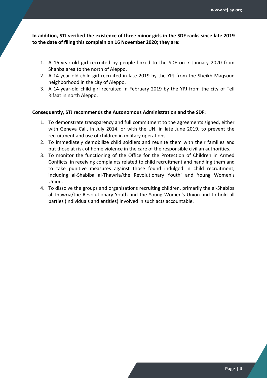**In addition, STJ verified the existence of three minor girls in the SDF ranks since late 2019 to the date of filing this complain on 16 November 2020; they are:**

- 1. A 16-year-old girl recruited by people linked to the SDF on 7 January 2020 from Shahba area to the north of Aleppo.
- 2. A 14-year-old child girl recruited in late 2019 by the YPJ from the Sheikh Maqsoud neighborhood in the city of Aleppo.
- 3. A 14-year-old child girl recruited in February 2019 by the YPJ from the city of Tell Rifaat in north Aleppo.

## **Consequently, STJ recommends the Autonomous Administration and the SDF:**

- 1. To demonstrate transparency and full commitment to the agreements signed, either with Geneva Call, in July 2014, or with the UN, in late June 2019, to prevent the recruitment and use of children in military operations.
- 2. To immediately demobilize child soldiers and reunite them with their families and put those at risk of home violence in the care of the responsible civilian authorities.
- 3. To monitor the functioning of the Office for the Protection of Children in Armed Conflicts, in receiving complaints related to child recruitment and handling them and to take punitive measures against those found indulged in child recruitment, including al-Shabiba al-Thawria/the Revolutionary Youth' and Young Women's Union.
- 4. To dissolve the groups and organizations recruiting children, primarily the al-Shabiba al-Thawria/the Revolutionary Youth and the Young Women's Union and to hold all parties (individuals and entities) involved in such acts accountable.